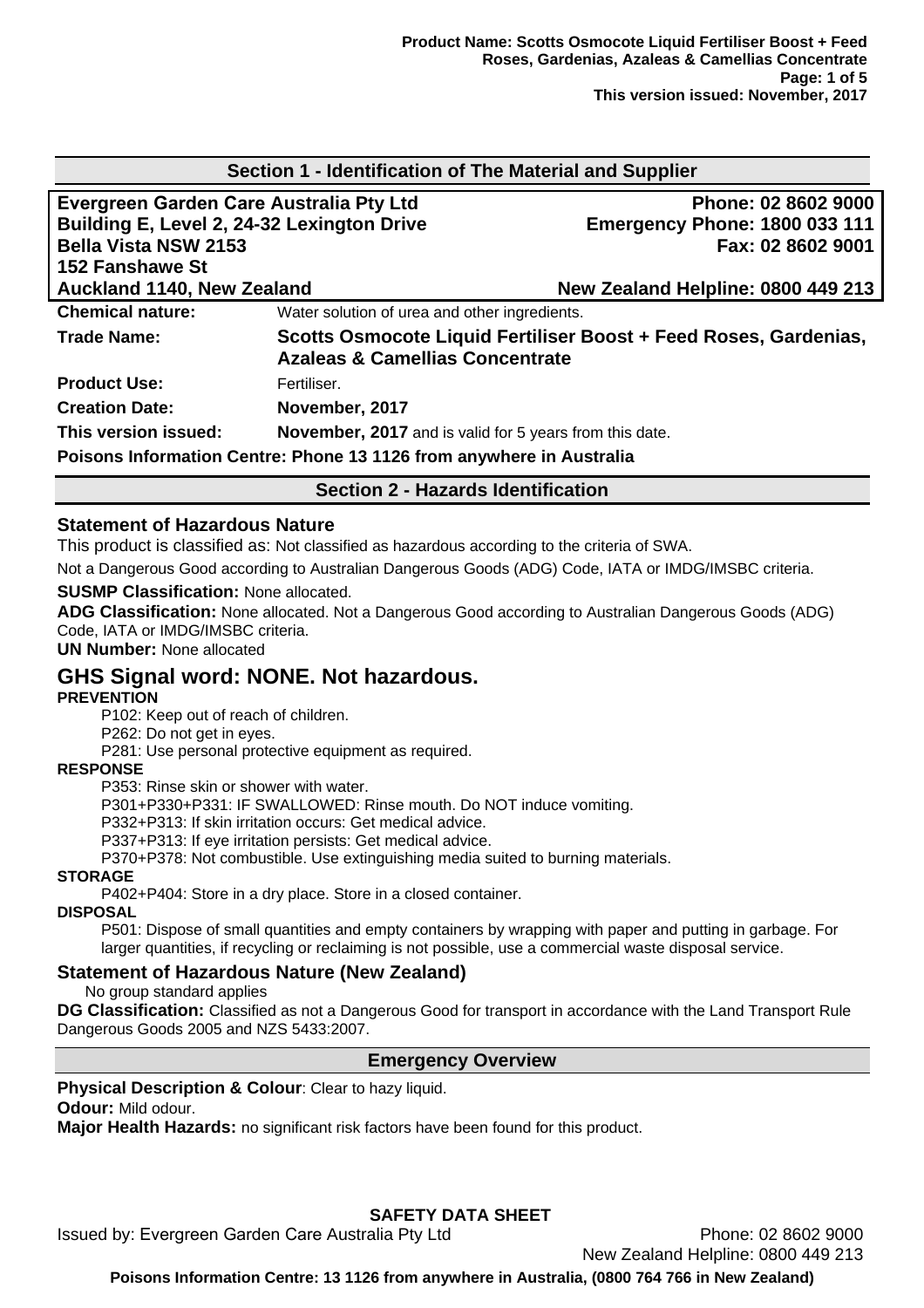| Section 1 - Identification of The Material and Supplier              |                                                                |                                                                  |  |  |
|----------------------------------------------------------------------|----------------------------------------------------------------|------------------------------------------------------------------|--|--|
| Evergreen Garden Care Australia Pty Ltd                              |                                                                | Phone: 02 8602 9000                                              |  |  |
| Building E, Level 2, 24-32 Lexington Drive                           |                                                                | <b>Emergency Phone: 1800 033 111</b>                             |  |  |
| <b>Bella Vista NSW 2153</b>                                          |                                                                | Fax: 02 8602 9001                                                |  |  |
| 152 Fanshawe St                                                      |                                                                |                                                                  |  |  |
| <b>Auckland 1140, New Zealand</b>                                    |                                                                | New Zealand Helpline: 0800 449 213                               |  |  |
| <b>Chemical nature:</b>                                              | Water solution of urea and other ingredients.                  |                                                                  |  |  |
| Trade Name:                                                          | <b>Azaleas &amp; Camellias Concentrate</b>                     | Scotts Osmocote Liquid Fertiliser Boost + Feed Roses, Gardenias, |  |  |
| <b>Product Use:</b>                                                  | Fertiliser.                                                    |                                                                  |  |  |
| <b>Creation Date:</b>                                                | November, 2017                                                 |                                                                  |  |  |
| This version issued:                                                 | <b>November, 2017</b> and is valid for 5 years from this date. |                                                                  |  |  |
| Poisons Information Centre: Phone 13 1126 from anywhere in Australia |                                                                |                                                                  |  |  |
| <b>Section 2 - Hazards Identification</b>                            |                                                                |                                                                  |  |  |

### **Statement of Hazardous Nature**

This product is classified as: Not classified as hazardous according to the criteria of SWA.

Not a Dangerous Good according to Australian Dangerous Goods (ADG) Code, IATA or IMDG/IMSBC criteria.

#### **SUSMP Classification:** None allocated.

**ADG Classification:** None allocated. Not a Dangerous Good according to Australian Dangerous Goods (ADG) Code, IATA or IMDG/IMSBC criteria.

**UN Number:** None allocated

# **GHS Signal word: NONE. Not hazardous.**

### **PREVENTION**

P102: Keep out of reach of children.

P262: Do not get in eyes.

P281: Use personal protective equipment as required.

# **RESPONSE**

P353: Rinse skin or shower with water.

P301+P330+P331: IF SWALLOWED: Rinse mouth. Do NOT induce vomiting.

P332+P313: If skin irritation occurs: Get medical advice.

P337+P313: If eye irritation persists: Get medical advice.

P370+P378: Not combustible. Use extinguishing media suited to burning materials.

### **STORAGE**

P402+P404: Store in a dry place. Store in a closed container.

### **DISPOSAL**

P501: Dispose of small quantities and empty containers by wrapping with paper and putting in garbage. For larger quantities, if recycling or reclaiming is not possible, use a commercial waste disposal service.

### **Statement of Hazardous Nature (New Zealand)**

No group standard applies

**DG Classification:** Classified as not a Dangerous Good for transport in accordance with the Land Transport Rule Dangerous Goods 2005 and NZS 5433:2007.

### **Emergency Overview**

**Physical Description & Colour: Clear to hazy liquid.** 

**Odour:** Mild odour.

**Major Health Hazards:** no significant risk factors have been found for this product.

# **SAFETY DATA SHEET**

Issued by: Evergreen Garden Care Australia Pty Ltd Phone: 02 8602 9000

New Zealand Helpline: 0800 449 213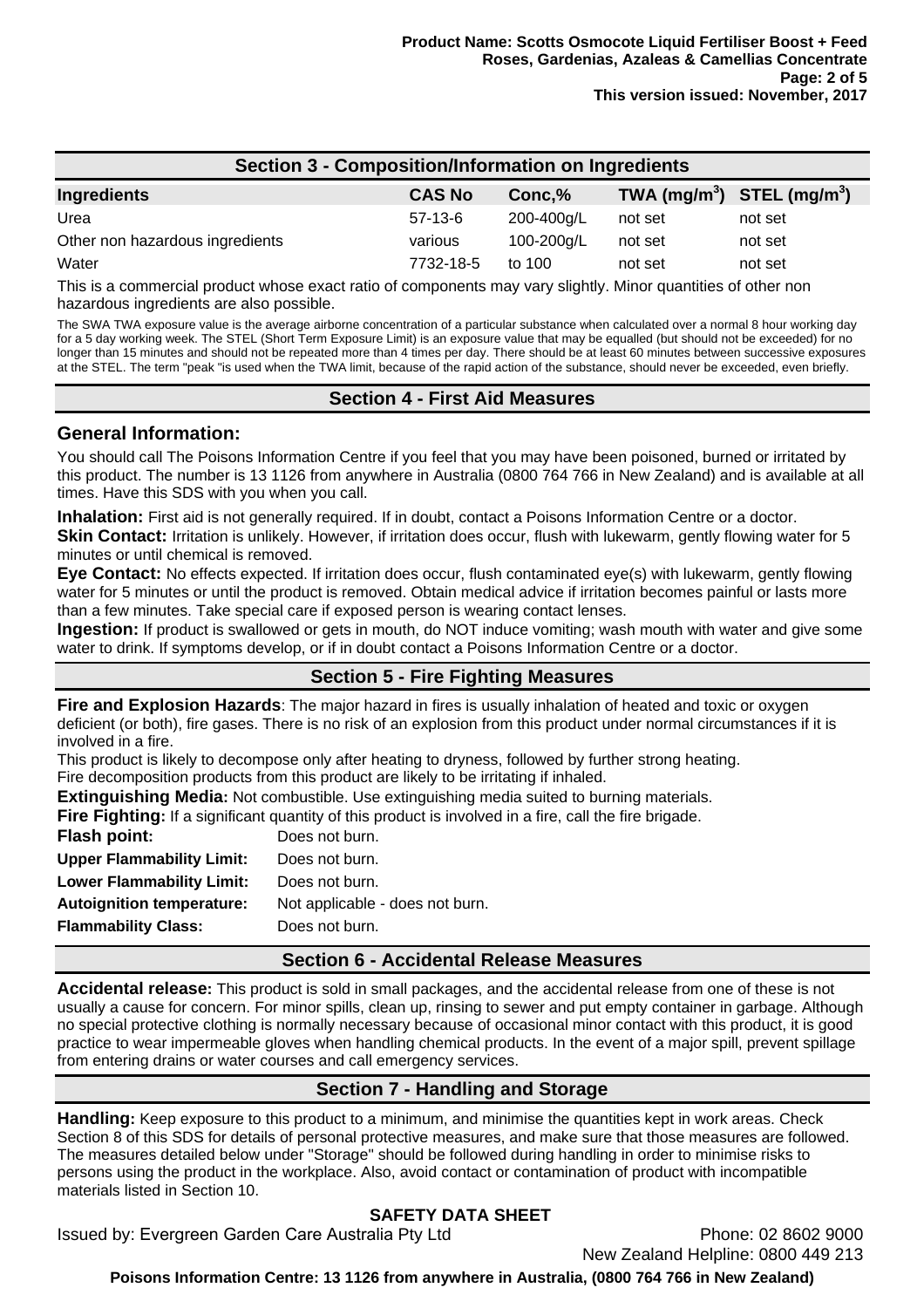| <b>Section 3 - Composition/Information on Ingredients</b> |               |            |                                                    |         |
|-----------------------------------------------------------|---------------|------------|----------------------------------------------------|---------|
| Ingredients                                               | <b>CAS No</b> | Conc, %    | TWA (mg/m <sup>3</sup> ) STEL (mg/m <sup>3</sup> ) |         |
| Urea                                                      | $57-13-6$     | 200-400g/L | not set                                            | not set |
| Other non hazardous ingredients                           | various       | 100-200g/L | not set                                            | not set |
| Water                                                     | 7732-18-5     | to 100     | not set                                            | not set |

This is a commercial product whose exact ratio of components may vary slightly. Minor quantities of other non hazardous ingredients are also possible.

The SWA TWA exposure value is the average airborne concentration of a particular substance when calculated over a normal 8 hour working day for a 5 day working week. The STEL (Short Term Exposure Limit) is an exposure value that may be equalled (but should not be exceeded) for no longer than 15 minutes and should not be repeated more than 4 times per day. There should be at least 60 minutes between successive exposures at the STEL. The term "peak "is used when the TWA limit, because of the rapid action of the substance, should never be exceeded, even briefly.

## **Section 4 - First Aid Measures**

### **General Information:**

You should call The Poisons Information Centre if you feel that you may have been poisoned, burned or irritated by this product. The number is 13 1126 from anywhere in Australia (0800 764 766 in New Zealand) and is available at all times. Have this SDS with you when you call.

**Inhalation:** First aid is not generally required. If in doubt, contact a Poisons Information Centre or a doctor. **Skin Contact:** Irritation is unlikely. However, if irritation does occur, flush with lukewarm, gently flowing water for 5 minutes or until chemical is removed.

**Eye Contact:** No effects expected. If irritation does occur, flush contaminated eye(s) with lukewarm, gently flowing water for 5 minutes or until the product is removed. Obtain medical advice if irritation becomes painful or lasts more than a few minutes. Take special care if exposed person is wearing contact lenses.

**Ingestion:** If product is swallowed or gets in mouth, do NOT induce vomiting; wash mouth with water and give some water to drink. If symptoms develop, or if in doubt contact a Poisons Information Centre or a doctor.

# **Section 5 - Fire Fighting Measures**

**Fire and Explosion Hazards**: The major hazard in fires is usually inhalation of heated and toxic or oxygen deficient (or both), fire gases. There is no risk of an explosion from this product under normal circumstances if it is involved in a fire.

This product is likely to decompose only after heating to dryness, followed by further strong heating. Fire decomposition products from this product are likely to be irritating if inhaled.

**Extinguishing Media:** Not combustible. Use extinguishing media suited to burning materials.

**Fire Fighting:** If a significant quantity of this product is involved in a fire, call the fire brigade.

| Flash point:                     | Does not burn.                  |
|----------------------------------|---------------------------------|
| <b>Upper Flammability Limit:</b> | Does not burn.                  |
| <b>Lower Flammability Limit:</b> | Does not burn.                  |
| <b>Autoignition temperature:</b> | Not applicable - does not burn. |
| <b>Flammability Class:</b>       | Does not burn.                  |
|                                  |                                 |

# **Section 6 - Accidental Release Measures**

**Accidental release:** This product is sold in small packages, and the accidental release from one of these is not usually a cause for concern. For minor spills, clean up, rinsing to sewer and put empty container in garbage. Although no special protective clothing is normally necessary because of occasional minor contact with this product, it is good practice to wear impermeable gloves when handling chemical products. In the event of a major spill, prevent spillage from entering drains or water courses and call emergency services.

# **Section 7 - Handling and Storage**

**Handling:** Keep exposure to this product to a minimum, and minimise the quantities kept in work areas. Check Section 8 of this SDS for details of personal protective measures, and make sure that those measures are followed. The measures detailed below under "Storage" should be followed during handling in order to minimise risks to persons using the product in the workplace. Also, avoid contact or contamination of product with incompatible materials listed in Section 10.

# **SAFETY DATA SHEET**

Issued by: Evergreen Garden Care Australia Pty Ltd Phone: 02 8602 9000

New Zealand Helpline: 0800 449 213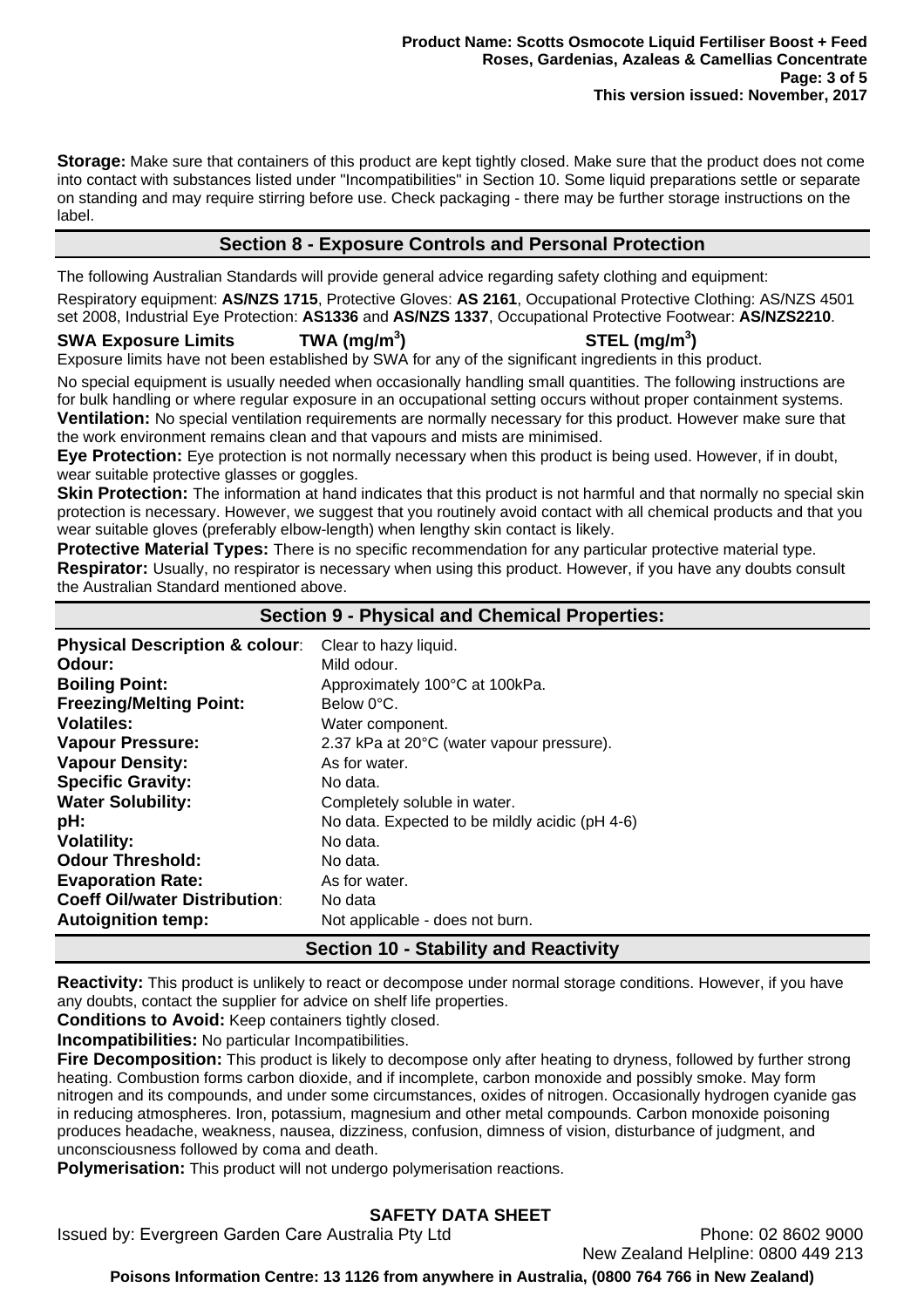**Storage:** Make sure that containers of this product are kept tightly closed. Make sure that the product does not come into contact with substances listed under "Incompatibilities" in Section 10. Some liquid preparations settle or separate on standing and may require stirring before use. Check packaging - there may be further storage instructions on the label.

# **Section 8 - Exposure Controls and Personal Protection**

The following Australian Standards will provide general advice regarding safety clothing and equipment:

Respiratory equipment: **AS/NZS 1715**, Protective Gloves: **AS 2161**, Occupational Protective Clothing: AS/NZS 4501 set 2008, Industrial Eye Protection: **AS1336** and **AS/NZS 1337**, Occupational Protective Footwear: **AS/NZS2210**.

## **SWA Exposure Limits TWA (mg/m<sup>3</sup>**

**) STEL (mg/m<sup>3</sup> )** 

Exposure limits have not been established by SWA for any of the significant ingredients in this product.

No special equipment is usually needed when occasionally handling small quantities. The following instructions are for bulk handling or where regular exposure in an occupational setting occurs without proper containment systems. **Ventilation:** No special ventilation requirements are normally necessary for this product. However make sure that the work environment remains clean and that vapours and mists are minimised.

**Eye Protection:** Eye protection is not normally necessary when this product is being used. However, if in doubt, wear suitable protective glasses or goggles.

**Skin Protection:** The information at hand indicates that this product is not harmful and that normally no special skin protection is necessary. However, we suggest that you routinely avoid contact with all chemical products and that you wear suitable gloves (preferably elbow-length) when lengthy skin contact is likely.

**Protective Material Types:** There is no specific recommendation for any particular protective material type. **Respirator:** Usually, no respirator is necessary when using this product. However, if you have any doubts consult the Australian Standard mentioned above.

## **Section 9 - Physical and Chemical Properties:**

| <b>Physical Description &amp; colour:</b> | Clear to hazy liquid.                          |
|-------------------------------------------|------------------------------------------------|
| Odour:                                    | Mild odour.                                    |
| <b>Boiling Point:</b>                     | Approximately 100°C at 100kPa.                 |
| <b>Freezing/Melting Point:</b>            | Below 0°C.                                     |
| <b>Volatiles:</b>                         | Water component.                               |
| <b>Vapour Pressure:</b>                   | 2.37 kPa at 20°C (water vapour pressure).      |
| <b>Vapour Density:</b>                    | As for water.                                  |
| <b>Specific Gravity:</b>                  | No data.                                       |
| <b>Water Solubility:</b>                  | Completely soluble in water.                   |
| pH:                                       | No data. Expected to be mildly acidic (pH 4-6) |
| <b>Volatility:</b>                        | No data.                                       |
| <b>Odour Threshold:</b>                   | No data.                                       |
| <b>Evaporation Rate:</b>                  | As for water.                                  |
| <b>Coeff Oil/water Distribution:</b>      | No data                                        |
| <b>Autoignition temp:</b>                 | Not applicable - does not burn.                |

# **Section 10 - Stability and Reactivity**

**Reactivity:** This product is unlikely to react or decompose under normal storage conditions. However, if you have any doubts, contact the supplier for advice on shelf life properties.

**Conditions to Avoid:** Keep containers tightly closed.

**Incompatibilities:** No particular Incompatibilities.

**Fire Decomposition:** This product is likely to decompose only after heating to dryness, followed by further strong heating. Combustion forms carbon dioxide, and if incomplete, carbon monoxide and possibly smoke. May form nitrogen and its compounds, and under some circumstances, oxides of nitrogen. Occasionally hydrogen cyanide gas in reducing atmospheres. Iron, potassium, magnesium and other metal compounds. Carbon monoxide poisoning produces headache, weakness, nausea, dizziness, confusion, dimness of vision, disturbance of judgment, and unconsciousness followed by coma and death.

**Polymerisation:** This product will not undergo polymerisation reactions.

# **SAFETY DATA SHEET**

Issued by: Evergreen Garden Care Australia Pty Ltd Phone: 02 8602 9000

New Zealand Helpline: 0800 449 213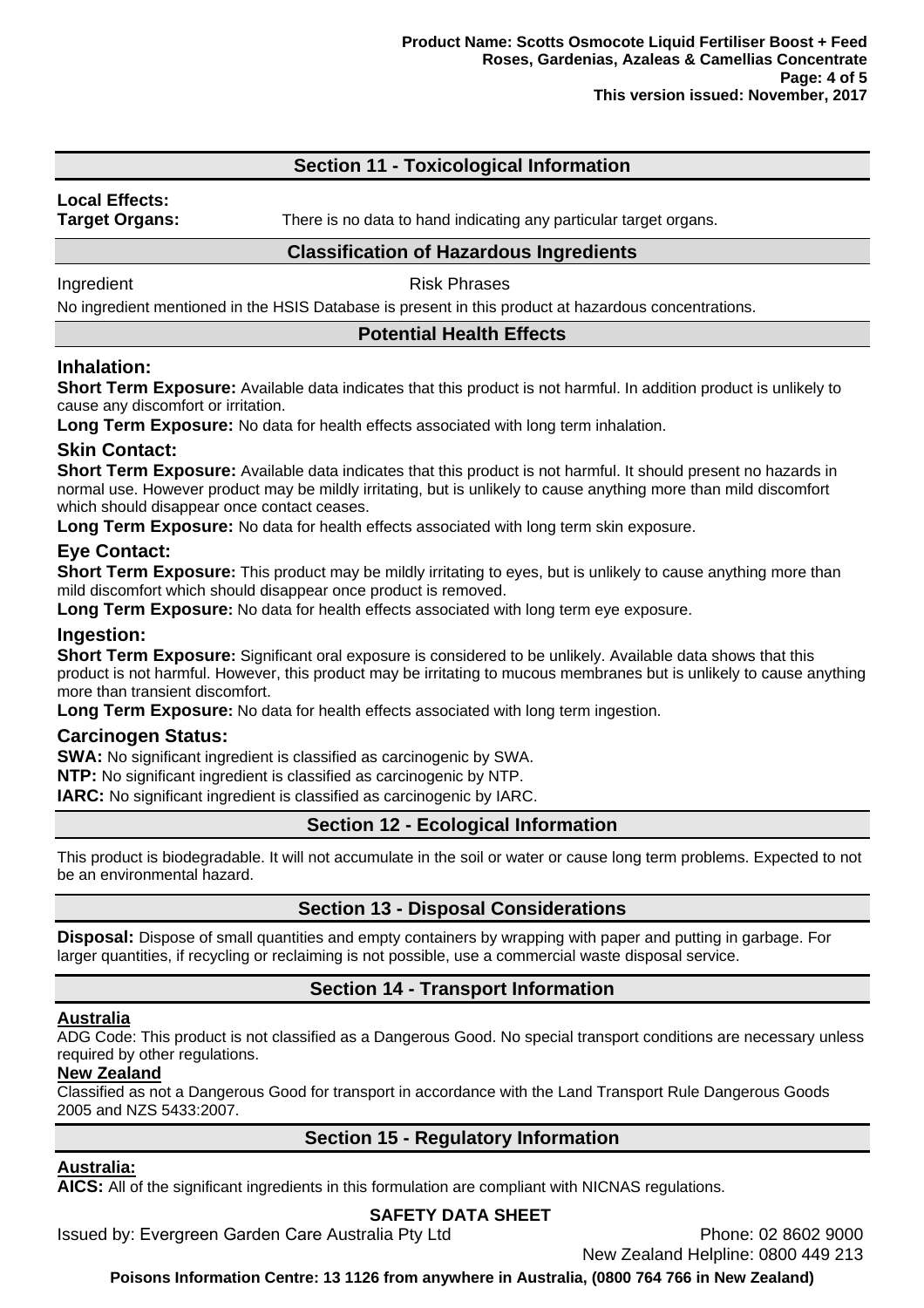# **Section 11 - Toxicological Information**

# **Local Effects:**

**Target Organs:** There is no data to hand indicating any particular target organs.

### **Classification of Hazardous Ingredients**

Ingredient **Risk Phrases** 

No ingredient mentioned in the HSIS Database is present in this product at hazardous concentrations.

## **Potential Health Effects**

## **Inhalation:**

**Short Term Exposure:** Available data indicates that this product is not harmful. In addition product is unlikely to cause any discomfort or irritation.

**Long Term Exposure:** No data for health effects associated with long term inhalation.

## **Skin Contact:**

**Short Term Exposure:** Available data indicates that this product is not harmful. It should present no hazards in normal use. However product may be mildly irritating, but is unlikely to cause anything more than mild discomfort which should disappear once contact ceases.

**Long Term Exposure:** No data for health effects associated with long term skin exposure.

# **Eye Contact:**

**Short Term Exposure:** This product may be mildly irritating to eyes, but is unlikely to cause anything more than mild discomfort which should disappear once product is removed.

**Long Term Exposure:** No data for health effects associated with long term eve exposure.

### **Ingestion:**

**Short Term Exposure:** Significant oral exposure is considered to be unlikely. Available data shows that this product is not harmful. However, this product may be irritating to mucous membranes but is unlikely to cause anything more than transient discomfort.

**Long Term Exposure:** No data for health effects associated with long term ingestion.

### **Carcinogen Status:**

**SWA:** No significant ingredient is classified as carcinogenic by SWA.

**NTP:** No significant ingredient is classified as carcinogenic by NTP.

**IARC:** No significant ingredient is classified as carcinogenic by IARC.

# **Section 12 - Ecological Information**

This product is biodegradable. It will not accumulate in the soil or water or cause long term problems. Expected to not be an environmental hazard.

# **Section 13 - Disposal Considerations**

**Disposal:** Dispose of small quantities and empty containers by wrapping with paper and putting in garbage. For larger quantities, if recycling or reclaiming is not possible, use a commercial waste disposal service.

# **Section 14 - Transport Information**

### **Australia**

ADG Code: This product is not classified as a Dangerous Good. No special transport conditions are necessary unless required by other regulations.

### **New Zealand**

Classified as not a Dangerous Good for transport in accordance with the Land Transport Rule Dangerous Goods 2005 and NZS 5433:2007.

# **Section 15 - Regulatory Information**

# **Australia:**

**AICS:** All of the significant ingredients in this formulation are compliant with NICNAS regulations.

# **SAFETY DATA SHEET**

Issued by: Evergreen Garden Care Australia Pty Ltd **Phone: 02 8602 9000** 

New Zealand Helpline: 0800 449 213